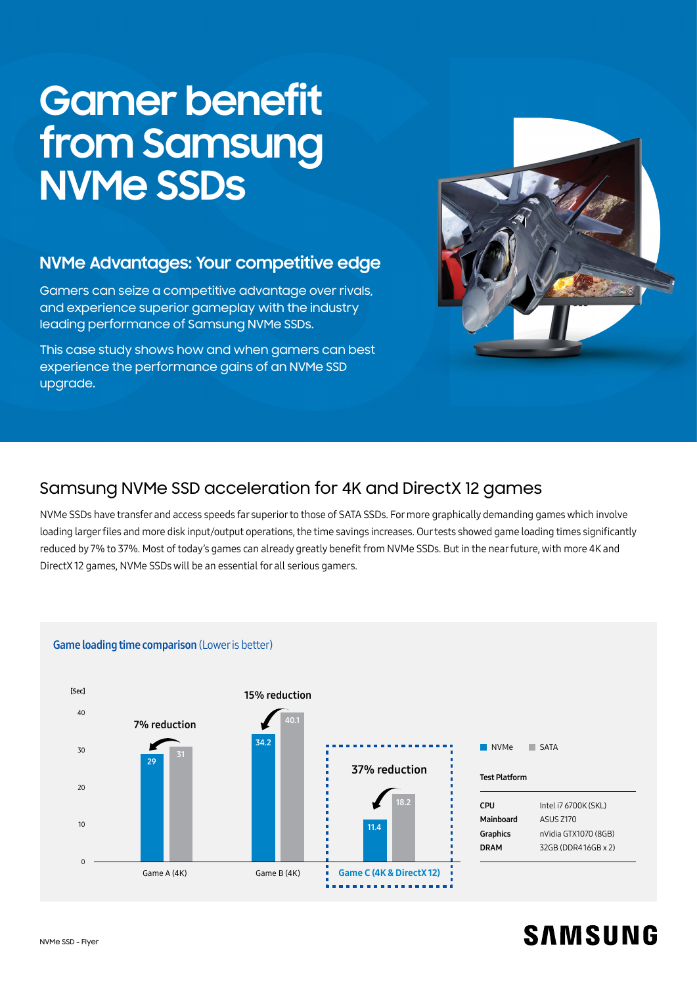# **Gamer benefit from Samsung NVMe SSDs**

## **NVMe Advantages: Your competitive edge**

Gamers can seize a competitive advantage over rivals, and experience superior gameplay with the industry leading performance of Samsung NVMe SSDs.

This case study shows how and when gamers can best experience the performance gains of an NVMe SSD upgrade.



# Samsung NVMe SSD acceleration for 4K and DirectX 12 games

NVMe SSDs have transfer and access speeds far superior to those of SATA SSDs. For more graphically demanding games which involve loading larger fles and more disk input/output operations, the time savings increases. Our tests showed game loading times signifcantly reduced by 7% to 37%. Most of today's games can already greatly beneft from NVMe SSDs. But in the near future, with more 4K and DirectX 12 games, NVMe SSDs will be an essential for all serious gamers.



# **SAMSUNG**